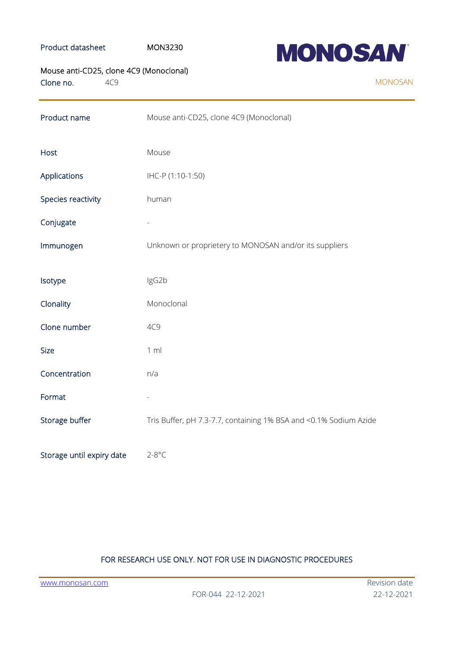### Product datasheet MON3230



# Mouse anti-CD25, clone 4C9 (Monoclonal)

Clone no. 4C9

| Product name              | Mouse anti-CD25, clone 4C9 (Monoclonal)                           |
|---------------------------|-------------------------------------------------------------------|
| Host                      | Mouse                                                             |
| Applications              | IHC-P (1:10-1:50)                                                 |
| Species reactivity        | human                                                             |
| Conjugate                 |                                                                   |
| Immunogen                 | Unknown or proprietery to MONOSAN and/or its suppliers            |
| Isotype                   | IgG2b                                                             |
| Clonality                 | Monoclonal                                                        |
| Clone number              | 4C9                                                               |
| <b>Size</b>               | 1 m                                                               |
| Concentration             | n/a                                                               |
| Format                    |                                                                   |
| Storage buffer            | Tris Buffer, pH 7.3-7.7, containing 1% BSA and <0.1% Sodium Azide |
| Storage until expiry date | $2 - 8$ °C                                                        |

## FOR RESEARCH USE ONLY. NOT FOR USE IN DIAGNOSTIC PROCEDURES